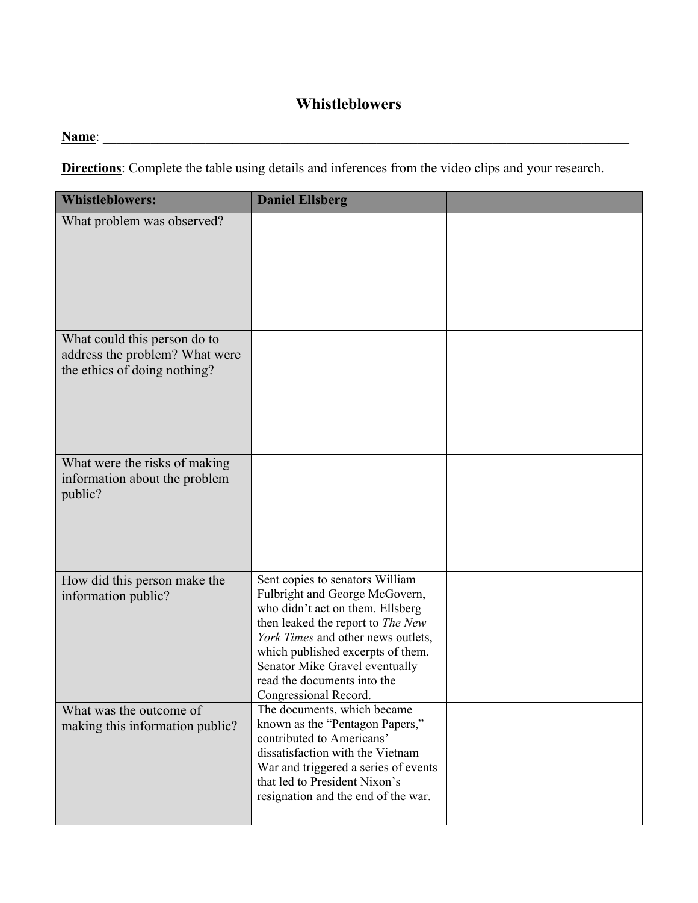## **Whistleblowers**

## **Name**: \_\_\_\_\_\_\_\_\_\_\_\_\_\_\_\_\_\_\_\_\_\_\_\_\_\_\_\_\_\_\_\_\_\_\_\_\_\_\_\_\_\_\_\_\_\_\_\_\_\_\_\_\_\_\_\_\_\_\_\_\_\_\_\_\_\_\_\_\_\_\_\_\_\_\_\_\_

**Directions**: Complete the table using details and inferences from the video clips and your research.

| <b>Whistleblowers:</b>                                                                         | <b>Daniel Ellsberg</b>                                                                                                                                                                                                                                                                                          |  |
|------------------------------------------------------------------------------------------------|-----------------------------------------------------------------------------------------------------------------------------------------------------------------------------------------------------------------------------------------------------------------------------------------------------------------|--|
| What problem was observed?                                                                     |                                                                                                                                                                                                                                                                                                                 |  |
| What could this person do to<br>address the problem? What were<br>the ethics of doing nothing? |                                                                                                                                                                                                                                                                                                                 |  |
| What were the risks of making<br>information about the problem<br>public?                      |                                                                                                                                                                                                                                                                                                                 |  |
| How did this person make the<br>information public?                                            | Sent copies to senators William<br>Fulbright and George McGovern,<br>who didn't act on them. Ellsberg<br>then leaked the report to The New<br>York Times and other news outlets,<br>which published excerpts of them.<br>Senator Mike Gravel eventually<br>read the documents into the<br>Congressional Record. |  |
| What was the outcome of<br>making this information public?                                     | The documents, which became<br>known as the "Pentagon Papers,"<br>contributed to Americans'<br>dissatisfaction with the Vietnam<br>War and triggered a series of events<br>that led to President Nixon's<br>resignation and the end of the war.                                                                 |  |